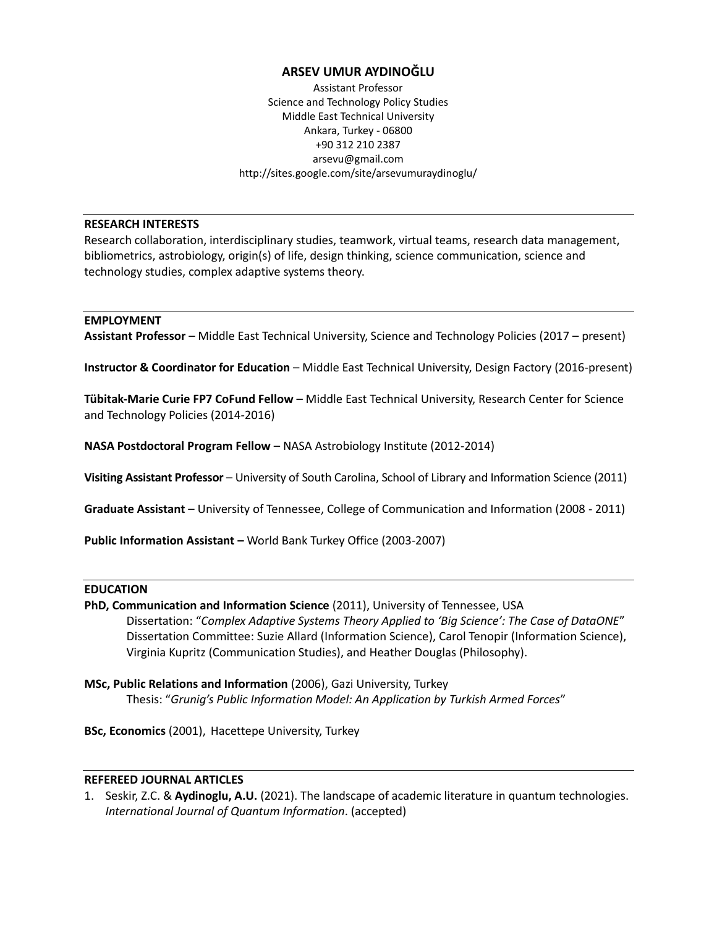# **ARSEV UMUR AYDINOĞLU**

Assistant Professor Science and Technology Policy Studies Middle East Technical University Ankara, Turkey - 06800 +90 312 210 2387 arsevu@gmail.com http://sites.google.com/site/arsevumuraydinoglu/

# **RESEARCH INTERESTS**

Research collaboration, interdisciplinary studies, teamwork, virtual teams, research data management, bibliometrics, astrobiology, origin(s) of life, design thinking, science communication, science and technology studies, complex adaptive systems theory.

# **EMPLOYMENT**

**Assistant Professor** – Middle East Technical University, Science and Technology Policies (2017 – present)

**Instructor & Coordinator for Education** - Middle East Technical University, Design Factory (2016-present)

**Tübitak-Marie Curie FP7 CoFund Fellow** – Middle East Technical University, Research Center for Science and Technology Policies (2014-2016)

**NASA Postdoctoral Program Fellow** – NASA Astrobiology Institute (2012-2014)

**Visiting Assistant Professor** – University of South Carolina, School of Library and Information Science (2011)

**Graduate Assistant** – University of Tennessee, College of Communication and Information (2008 - 2011)

**Public Information Assistant –** World Bank Turkey Office (2003-2007)

#### **EDUCATION**

- **PhD, Communication and Information Science** (2011), University of Tennessee, USA Dissertation: "*Complex Adaptive Systems Theory Applied to 'Big Science': The Case of DataONE*" Dissertation Committee: Suzie Allard (Information Science), Carol Tenopir (Information Science), Virginia Kupritz (Communication Studies), and Heather Douglas (Philosophy).
- **MSc, Public Relations and Information** (2006), Gazi University, Turkey Thesis: "*Grunig's Public Information Model: An Application by Turkish Armed Forces*"

**BSc, Economics** (2001), Hacettepe University, Turkey

#### **REFEREED JOURNAL ARTICLES**

1. Seskir, Z.C. & **Aydinoglu, A.U.** (2021). The landscape of academic literature in quantum technologies. *International Journal of Quantum Information*. (accepted)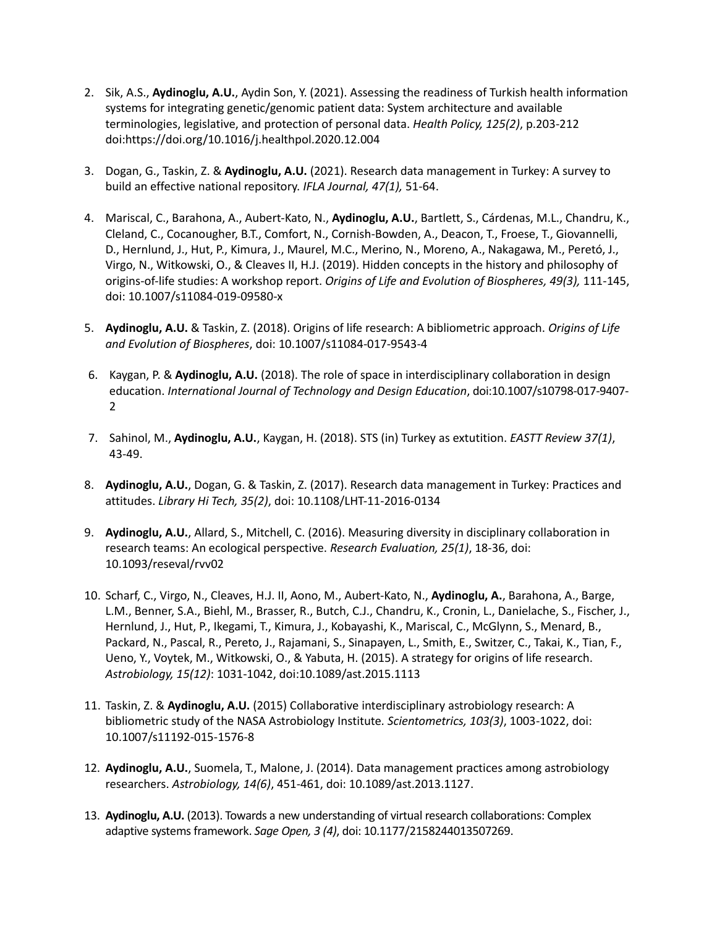- 2. Sik, A.S., **Aydinoglu, A.U.**, Aydin Son, Y. (2021). Assessing the readiness of Turkish health information systems for integrating genetic/genomic patient data: System architecture and available terminologies, legislative, and protection of personal data. *Health Policy, 125(2)*, p.203-212 doi:https://doi.org/10.1016/j.healthpol.2020.12.004
- 3. Dogan, G., Taskin, Z. & **Aydinoglu, A.U.** (2021). Research data management in Turkey: A survey to build an effective national repository. *IFLA Journal, 47(1),* 51-64.
- 4. Mariscal, C., Barahona, A., Aubert-Kato, N., **Aydinoglu, A.U.**, Bartlett, S., Cárdenas, M.L., Chandru, K., Cleland, C., Cocanougher, B.T., Comfort, N., Cornish-Bowden, A., Deacon, T., Froese, T., Giovannelli, D., Hernlund, J., Hut, P., Kimura, J., Maurel, M.C., Merino, N., Moreno, A., Nakagawa, M., Peretó, J., Virgo, N., Witkowski, O., & Cleaves II, H.J. (2019). Hidden concepts in the history and philosophy of origins-of-life studies: A workshop report. *Origins of Life and Evolution of Biospheres, 49(3),* 111-145, doi: 10.1007/s11084-019-09580-x
- 5. **Aydinoglu, A.U.** & Taskin, Z. (2018). Origins of life research: A bibliometric approach. *Origins of Life and Evolution of Biospheres*, doi: 10.1007/s11084-017-9543-4
- 6. Kaygan, P. & **Aydinoglu, A.U.** (2018). The role of space in interdisciplinary collaboration in design education. *International Journal of Technology and Design Education*, doi:10.1007/s10798-017-9407- 2
- 7. Sahinol, M., **Aydinoglu, A.U.**, Kaygan, H. (2018). STS (in) Turkey as extutition. *EASTT Review 37(1)*, 43-49.
- 8. **Aydinoglu, A.U.**, Dogan, G. & Taskin, Z. (2017). Research data management in Turkey: Practices and attitudes. *Library Hi Tech, 35(2)*, doi: 10.1108/LHT-11-2016-0134
- 9. **Aydinoglu, A.U.**, Allard, S., Mitchell, C. (2016). Measuring diversity in disciplinary collaboration in research teams: An ecological perspective. *Research Evaluation, 25(1)*, 18-36, doi: 10.1093/reseval/rvv02
- 10. Scharf, C., Virgo, N., Cleaves, H.J. II, Aono, M., Aubert-Kato, N., **Aydinoglu, A.**, Barahona, A., Barge, L.M., Benner, S.A., Biehl, M., Brasser, R., Butch, C.J., Chandru, K., Cronin, L., Danielache, S., Fischer, J., Hernlund, J., Hut, P., Ikegami, T., Kimura, J., Kobayashi, K., Mariscal, C., McGlynn, S., Menard, B., Packard, N., Pascal, R., Pereto, J., Rajamani, S., Sinapayen, L., Smith, E., Switzer, C., Takai, K., Tian, F., Ueno, Y., Voytek, M., Witkowski, O., & Yabuta, H. (2015). A strategy for origins of life research. *Astrobiology, 15(12)*: 1031-1042, doi:10.1089/ast.2015.1113
- 11. Taskin, Z. & **Aydinoglu, A.U.** (2015) Collaborative interdisciplinary astrobiology research: A bibliometric study of the NASA Astrobiology Institute*. Scientometrics, 103(3)*, 1003-1022, doi: 10.1007/s11192-015-1576-8
- 12. **Aydinoglu, A.U.**, Suomela, T., Malone, J. (2014). Data management practices among astrobiology researchers. *Astrobiology, 14(6)*, 451-461, doi: 10.1089/ast.2013.1127.
- 13. **Aydinoglu, A.U.** (2013). Towards a new understanding of virtual research collaborations: Complex adaptive systems framework. *Sage Open, 3 (4)*, doi: 10.1177/2158244013507269.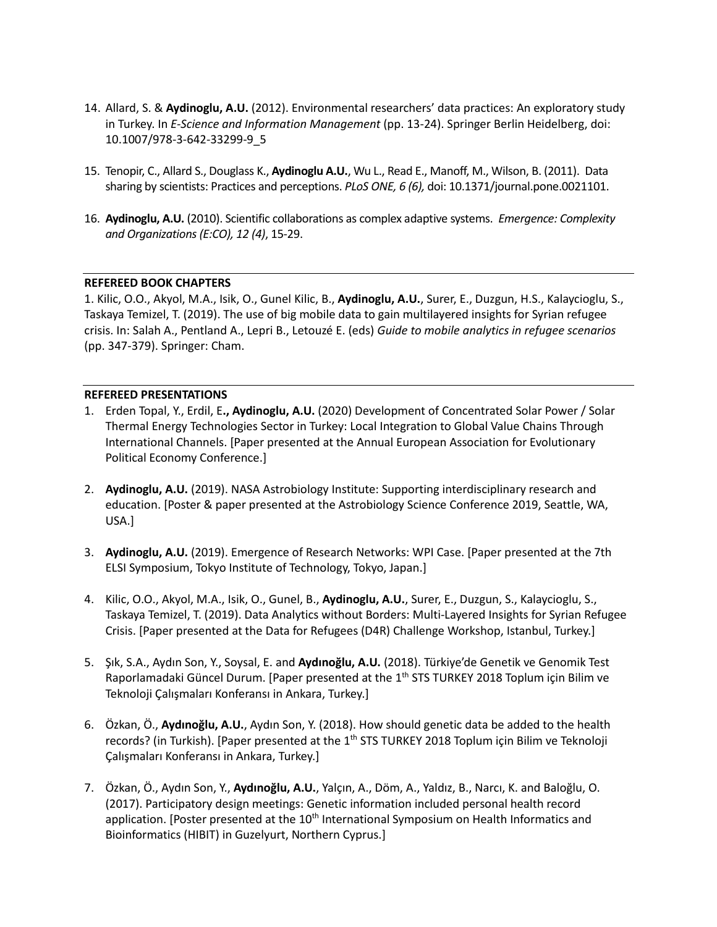- 14. Allard, S. & **Aydinoglu, A.U.** (2012). [Environmental researchers' data practices: An exploratory study](http://link.springer.com/chapter/10.1007/978-3-642-33299-9_5?no-access=true)  in Turkey. In *[E-Science and Information Management](http://link.springer.com/chapter/10.1007/978-3-642-33299-9_5?no-access=true)* (pp. 13-24). Springer Berlin Heidelberg, doi: 10.1007/978-3-642-33299-9\_5
- 15. Tenopir, C., Allard S., Douglass K., **Aydinoglu A.U.**, Wu L., Read E., Manoff, M., Wilson, B. (2011). Data sharing by scientists: Practices and perceptions. *PLoS ONE, 6 (6),* doi: 10.1371/journal.pone.0021101.
- 16. **Aydinoglu, A.U.** (2010). Scientific collaborations as complex adaptive systems. *Emergence: Complexity and Organizations (E:CO), 12 (4)*, 15-29.

# **REFEREED BOOK CHAPTERS**

1. Kilic, O.O., Akyol, M.A., Isik, O., Gunel Kilic, B., **Aydinoglu, A.U.**, Surer, E., Duzgun, H.S., Kalaycioglu, S., Taskaya Temizel, T. (2019). The use of big mobile data to gain multilayered insights for Syrian refugee crisis. In: Salah A., Pentland A., Lepri B., Letouzé E. (eds) *Guide to mobile analytics in refugee scenarios* (pp. 347-379). Springer: Cham.

#### **REFEREED PRESENTATIONS**

- 1. Erden Topal, Y., Erdil, E**., Aydinoglu, A.U.** (2020) Development of Concentrated Solar Power / Solar Thermal Energy Technologies Sector in Turkey: Local Integration to Global Value Chains Through International Channels. [Paper presented at the Annual European Association for Evolutionary Political Economy Conference.]
- 2. **Aydinoglu, A.U.** (2019). NASA Astrobiology Institute: Supporting interdisciplinary research and education. [Poster & paper presented at the Astrobiology Science Conference 2019, Seattle, WA, USA.]
- 3. **Aydinoglu, A.U.** (2019). Emergence of Research Networks: WPI Case. [Paper presented at the 7th ELSI Symposium, Tokyo Institute of Technology, Tokyo, Japan.]
- 4. Kilic, O.O., Akyol, M.A., Isik, O., Gunel, B., **Aydinoglu, A.U.**, Surer, E., Duzgun, S., Kalaycioglu, S., Taskaya Temizel, T. (2019). Data Analytics without Borders: Multi-Layered Insights for Syrian Refugee Crisis. [Paper presented at the Data for Refugees (D4R) Challenge Workshop, Istanbul, Turkey.]
- 5. Şık, S.A., Aydın Son, Y., Soysal, E. and **Aydınoğlu, A.U.** (2018). Türkiye'de Genetik ve Genomik Test Raporlamadaki Güncel Durum. [Paper presented at the 1<sup>th</sup> STS TURKEY 2018 Toplum için Bilim ve Teknoloji Çalışmaları Konferansı in Ankara, Turkey.]
- 6. Özkan, Ö., **Aydınoğlu, A.U.**, Aydın Son, Y. (2018). How should genetic data be added to the health records? (in Turkish). [Paper presented at the 1<sup>th</sup> STS TURKEY 2018 Toplum için Bilim ve Teknoloji Çalışmaları Konferansı in Ankara, Turkey.]
- 7. Özkan, Ö., Aydın Son, Y., **Aydınoğlu, A.U.**, Yalçın, A., Döm, A., Yaldız, B., Narcı, K. and Baloğlu, O. (2017). Participatory design meetings: Genetic information included personal health record application. [Poster presented at the  $10<sup>th</sup>$  International Symposium on Health Informatics and Bioinformatics (HIBIT) in Guzelyurt, Northern Cyprus.]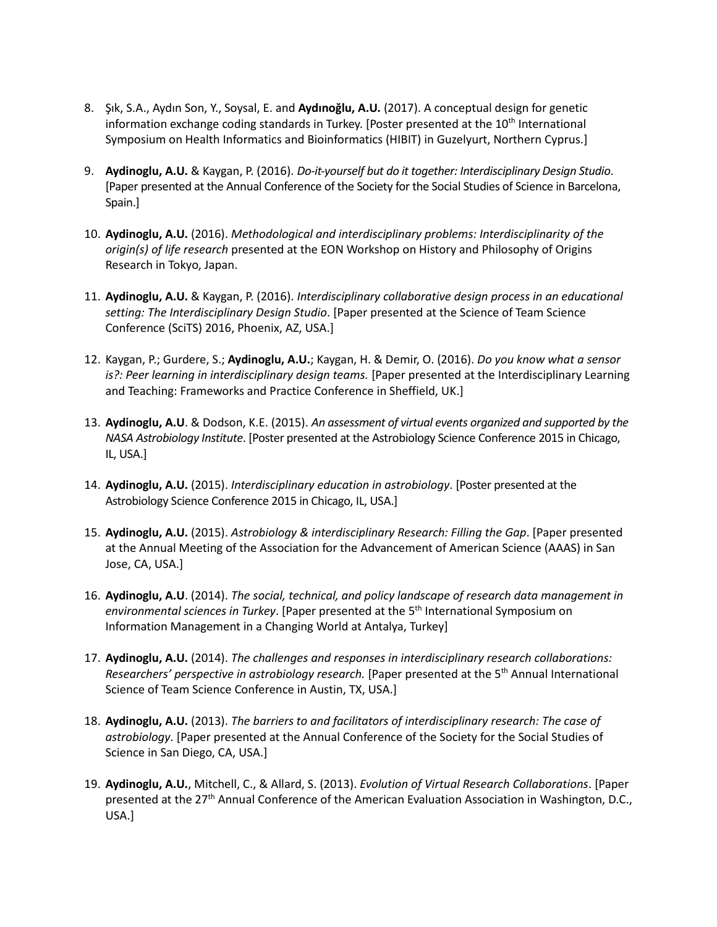- 8. Şık, S.A., Aydın Son, Y., Soysal, E. and **Aydınoğlu, A.U.** (2017). A conceptual design for genetic information exchange coding standards in Turkey. [Poster presented at the  $10<sup>th</sup>$  International Symposium on Health Informatics and Bioinformatics (HIBIT) in Guzelyurt, Northern Cyprus.]
- 9. **Aydinoglu, A.U.** & Kaygan, P. (2016). *Do-it-yourself but do it together: Interdisciplinary Design Studio*. [Paper presented at the Annual Conference of the Society for the Social Studies of Science in Barcelona, Spain.]
- 10. **Aydinoglu, A.U.** (2016). *Methodological and interdisciplinary problems: Interdisciplinarity of the origin(s) of life research* presented at the EON Workshop on History and Philosophy of Origins Research in Tokyo, Japan.
- 11. **Aydinoglu, A.U.** & Kaygan, P. (2016). *Interdisciplinary collaborative design process in an educational setting: The Interdisciplinary Design Studio*. [Paper presented at the Science of Team Science Conference (SciTS) 2016, Phoenix, AZ, USA.]
- 12. Kaygan, P.; Gurdere, S.; **Aydinoglu, A.U.**; Kaygan, H. & Demir, O. (2016). *Do you know what a sensor is?: Peer learning in interdisciplinary design teams.* [Paper presented at the Interdisciplinary Learning and Teaching: Frameworks and Practice Conference in Sheffield, UK.]
- 13. **Aydinoglu, A.U**. & Dodson, K.E. (2015). *An assessment of virtual events organized and supported by the NASA Astrobiology Institute*. [Poster presented at the Astrobiology Science Conference 2015 in Chicago, IL, USA.]
- 14. **Aydinoglu, A.U.** (2015). *Interdisciplinary education in astrobiology*. [Poster presented at the Astrobiology Science Conference 2015 in Chicago, IL, USA.]
- 15. **Aydinoglu, A.U.** (2015). *Astrobiology & interdisciplinary Research: Filling the Gap*. [Paper presented at the Annual Meeting of the Association for the Advancement of American Science (AAAS) in San Jose, CA, USA.]
- 16. **Aydinoglu, A.U**. (2014). *The social, technical, and policy landscape of research data management in*  environmental sciences in Turkey. [Paper presented at the 5<sup>th</sup> International Symposium on Information Management in a Changing World at Antalya, Turkey]
- 17. **Aydinoglu, A.U.** (2014). *The challenges and responses in interdisciplinary research collaborations:*  Researchers' perspective in astrobiology research. [Paper presented at the 5<sup>th</sup> Annual International Science of Team Science Conference in Austin, TX, USA.]
- 18. **Aydinoglu, A.U.** (2013). *The barriers to and facilitators of interdisciplinary research: The case of astrobiology*. [Paper presented at the Annual Conference of the Society for the Social Studies of Science in San Diego, CA, USA.]
- 19. **Aydinoglu, A.U.**, Mitchell, C., & Allard, S. (2013). *Evolution of Virtual Research Collaborations*. [Paper presented at the 27<sup>th</sup> Annual Conference of the American Evaluation Association in Washington, D.C., USA.]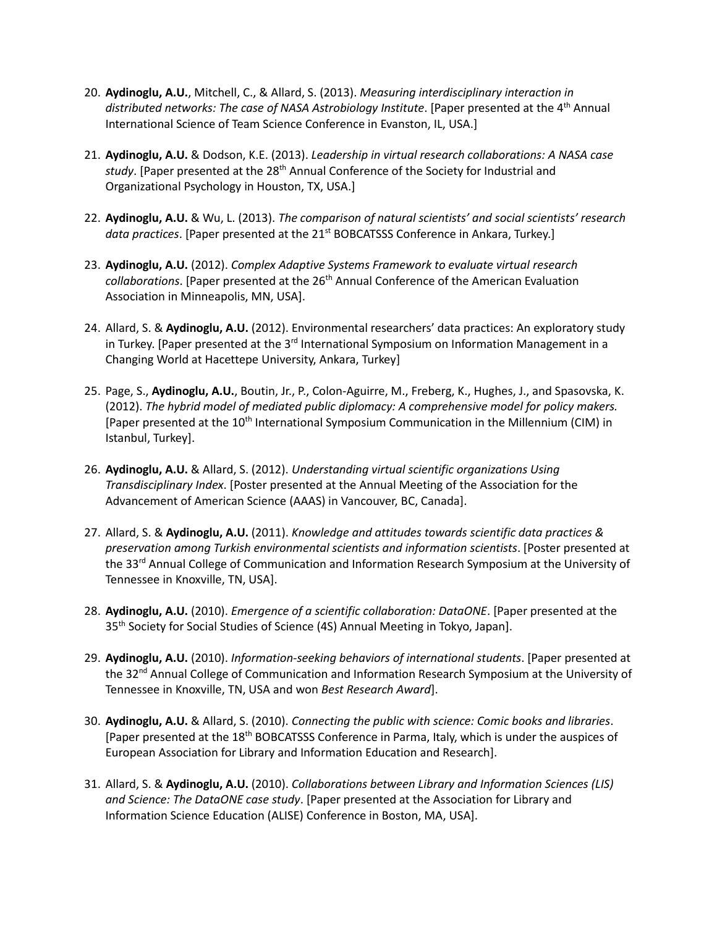- 20. **Aydinoglu, A.U.**, Mitchell, C., & Allard, S. (2013). *Measuring interdisciplinary interaction in*  distributed networks: The case of NASA Astrobiology Institute. [Paper presented at the 4<sup>th</sup> Annual International Science of Team Science Conference in Evanston, IL, USA.]
- 21. **Aydinoglu, A.U.** & Dodson, K.E. (2013). *Leadership in virtual research collaborations: A NASA case study*. [Paper presented at the 28th Annual Conference of the Society for Industrial and Organizational Psychology in Houston, TX, USA.]
- 22. **Aydinoglu, A.U.** & Wu, L. (2013). *The comparison of natural scientists' and social scientists' research*  data practices. [Paper presented at the 21<sup>st</sup> BOBCATSSS Conference in Ankara, Turkey.]
- 23. **Aydinoglu, A.U.** (2012). *Complex Adaptive Systems Framework to evaluate virtual research collaborations*. [Paper presented at the 26th Annual Conference of the American Evaluation Association in Minneapolis, MN, USA].
- 24. Allard, S. & **Aydinoglu, A.U.** (2012). Environmental researchers' data practices: An exploratory study in Turkey. [Paper presented at the 3<sup>rd</sup> International Symposium on Information Management in a Changing World at Hacettepe University, Ankara, Turkey]
- 25. Page, S., **Aydinoglu, A.U.**, Boutin, Jr., P., Colon-Aguirre, M., Freberg, K., Hughes, J., and Spasovska, K. (2012). *The hybrid model of mediated public diplomacy: A comprehensive model for policy makers.* [Paper presented at the 10<sup>th</sup> International Symposium Communication in the Millennium (CIM) in Istanbul, Turkey].
- 26. **Aydinoglu, A.U.** & Allard, S. (2012). *Understanding virtual scientific organizations Using Transdisciplinary Index*. [Poster presented at the Annual Meeting of the Association for the Advancement of American Science (AAAS) in Vancouver, BC, Canada].
- 27. Allard, S. & **Aydinoglu, A.U.** (2011). *Knowledge and attitudes towards scientific data practices & preservation among Turkish environmental scientists and information scientists*. [Poster presented at the 33<sup>rd</sup> Annual College of Communication and Information Research Symposium at the University of Tennessee in Knoxville, TN, USA].
- 28. **Aydinoglu, A.U.** (2010). *Emergence of a scientific collaboration: DataONE*. [Paper presented at the 35<sup>th</sup> Society for Social Studies of Science (4S) Annual Meeting in Tokyo, Japan].
- 29. **Aydinoglu, A.U.** (2010). *Information-seeking behaviors of international students*. [Paper presented at the 32<sup>nd</sup> Annual College of Communication and Information Research Symposium at the University of Tennessee in Knoxville, TN, USA and won *Best Research Award*].
- 30. **Aydinoglu, A.U.** & Allard, S. (2010). *Connecting the public with science: Comic books and libraries*. [Paper presented at the 18<sup>th</sup> BOBCATSSS Conference in Parma, Italy, which is under the auspices of European Association for Library and Information Education and Research].
- 31. Allard, S. & **Aydinoglu, A.U.** (2010). *Collaborations between Library and Information Sciences (LIS) and Science: The DataONE case study*. [Paper presented at the Association for Library and Information Science Education (ALISE) Conference in Boston, MA, USA].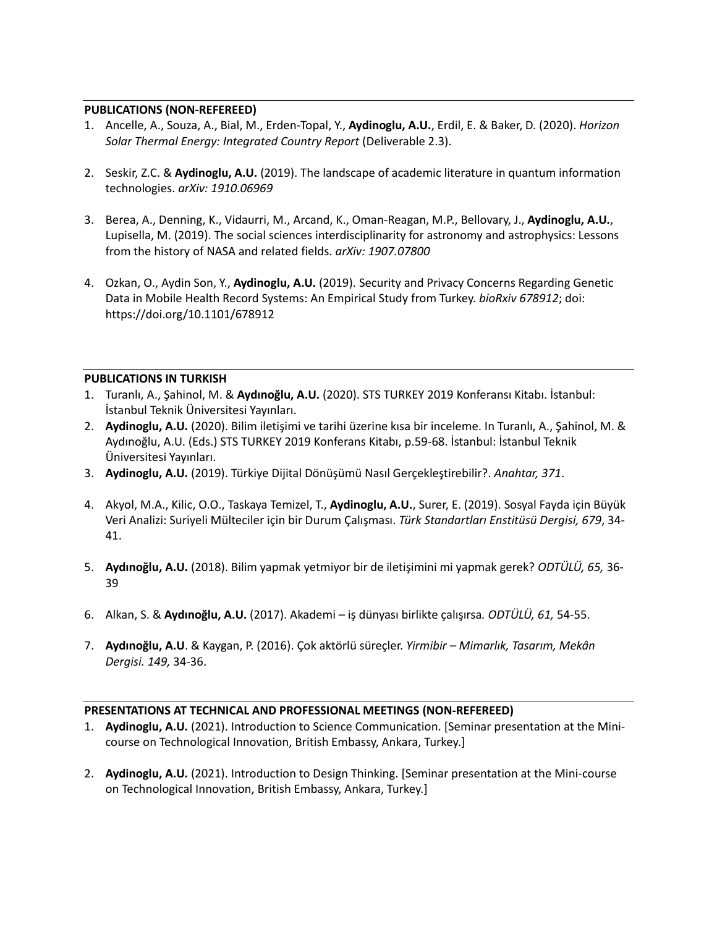# **PUBLICATIONS (NON-REFEREED)**

- 1. Ancelle, A., Souza, A., Bial, M., Erden-Topal, Y., **Aydinoglu, A.U.**, Erdil, E. & Baker, D. (2020). *Horizon Solar Thermal Energy: Integrated Country Report* (Deliverable 2.3).
- 2. Seskir, Z.C. & **Aydinoglu, A.U.** (2019). The landscape of academic literature in quantum information technologies. *arXiv: 1910.06969*
- 3. Berea, A., Denning, K., Vidaurri, M., Arcand, K., Oman-Reagan, M.P., Bellovary, J., **Aydinoglu, A.U.**, Lupisella, M. (2019). The social sciences interdisciplinarity for astronomy and astrophysics: Lessons from the history of NASA and related fields. *arXiv: 1907.07800*
- 4. Ozkan, O., Aydin Son, Y., **Aydinoglu, A.U.** (2019). Security and Privacy Concerns Regarding Genetic Data in Mobile Health Record Systems: An Empirical Study from Turkey. *bioRxiv 678912*; doi: https://doi.org/10.1101/678912

# **PUBLICATIONS IN TURKISH**

- 1. Turanlı, A., Şahinol, M. & **Aydınoğlu, A.U.** (2020). STS TURKEY 2019 Konferansı Kitabı. İstanbul: İstanbul Teknik Üniversitesi Yayınları.
- 2. **Aydinoglu, A.U.** (2020). Bilim iletişimi ve tarihi üzerine kısa bir inceleme. In Turanlı, A., Şahinol, M. & Aydınoğlu, A.U. (Eds.) STS TURKEY 2019 Konferans Kitabı, p.59-68. İstanbul: İstanbul Teknik Üniversitesi Yayınları.
- 3. **Aydinoglu, A.U.** (2019). Türkiye Dijital Dönüşümü Nasıl Gerçekleştirebilir?. *Anahtar, 371*.
- 4. Akyol, M.A., Kilic, O.O., Taskaya Temizel, T., **Aydinoglu, A.U.**, Surer, E. (2019). Sosyal Fayda için Büyük Veri Analizi: Suriyeli Mülteciler için bir Durum Çalışması. *Türk Standartları Enstitüsü Dergisi, 679*, 34- 41.
- 5. **Aydınoğlu, A.U.** (2018). Bilim yapmak yetmiyor bir de iletişimini mi yapmak gerek? *ODTÜLÜ, 65,* 36- 39
- 6. Alkan, S. & **Aydınoğlu, A.U.** (2017). Akademi iş dünyası birlikte çalışırsa*. ODTÜLÜ, 61,* 54-55.
- 7. **Aydınoğlu, A.U**. & Kaygan, P. (2016). Çok aktörlü süreçler. *Yirmibir – Mimarlık, Tasarım, Mekân Dergisi. 149,* 34-36.

# **PRESENTATIONS AT TECHNICAL AND PROFESSIONAL MEETINGS (NON-REFEREED)**

- 1. **Aydinoglu, A.U.** (2021). Introduction to Science Communication. [Seminar presentation at the Minicourse on Technological Innovation, British Embassy, Ankara, Turkey.]
- 2. **Aydinoglu, A.U.** (2021). Introduction to Design Thinking. [Seminar presentation at the Mini-course on Technological Innovation, British Embassy, Ankara, Turkey.]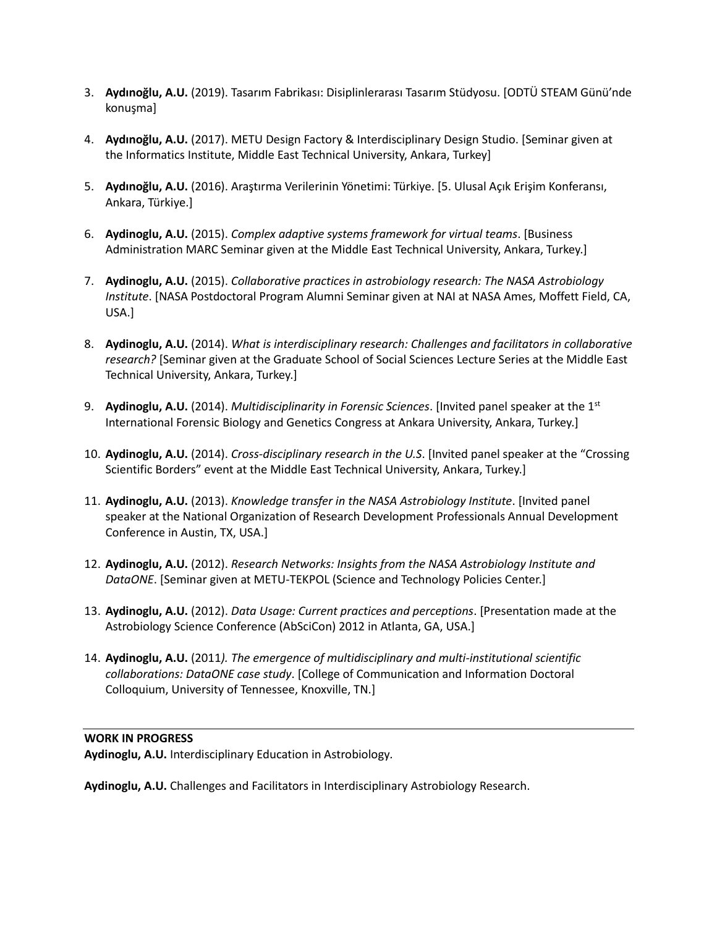- 3. **Aydınoğlu, A.U.** (2019). Tasarım Fabrikası: Disiplinlerarası Tasarım Stüdyosu. [ODTÜ STEAM Günü'nde konuşma]
- 4. **Aydınoğlu, A.U.** (2017). METU Design Factory & Interdisciplinary Design Studio. [Seminar given at the Informatics Institute, Middle East Technical University, Ankara, Turkey]
- 5. **Aydınoğlu, A.U.** (2016). Araştırma Verilerinin Yönetimi: Türkiye. [5. Ulusal Açık Erişim Konferansı, Ankara, Türkiye.]
- 6. **Aydinoglu, A.U.** (2015). *Complex adaptive systems framework for virtual teams*. [Business Administration MARC Seminar given at the Middle East Technical University, Ankara, Turkey.]
- 7. **Aydinoglu, A.U.** (2015). *Collaborative practices in astrobiology research: The NASA Astrobiology Institute*. [NASA Postdoctoral Program Alumni Seminar given at NAI at NASA Ames, Moffett Field, CA, USA.]
- 8. **Aydinoglu, A.U.** (2014). *What is interdisciplinary research: Challenges and facilitators in collaborative research?* [Seminar given at the Graduate School of Social Sciences Lecture Series at the Middle East Technical University, Ankara, Turkey.]
- 9. **Aydinoglu, A.U.** (2014). *Multidisciplinarity in Forensic Sciences*. [Invited panel speaker at the 1st International Forensic Biology and Genetics Congress at Ankara University, Ankara, Turkey.]
- 10. **Aydinoglu, A.U.** (2014). *Cross-disciplinary research in the U.S*. [Invited panel speaker at the "Crossing Scientific Borders" event at the Middle East Technical University, Ankara, Turkey.]
- 11. **Aydinoglu, A.U.** (2013). *Knowledge transfer in the NASA Astrobiology Institute*. [Invited panel speaker at the National Organization of Research Development Professionals Annual Development Conference in Austin, TX, USA.]
- 12. **Aydinoglu, A.U.** (2012). *Research Networks: Insights from the NASA Astrobiology Institute and DataONE*. [Seminar given at METU-TEKPOL (Science and Technology Policies Center.]
- 13. **Aydinoglu, A.U.** (2012). *Data Usage: Current practices and perceptions*. [Presentation made at the Astrobiology Science Conference (AbSciCon) 2012 in Atlanta, GA, USA.]
- 14. **Aydinoglu, A.U.** (2011*). The emergence of multidisciplinary and multi-institutional scientific collaborations: DataONE case study*. [College of Communication and Information Doctoral Colloquium, University of Tennessee, Knoxville, TN.]

# **WORK IN PROGRESS**

**Aydinoglu, A.U.** Interdisciplinary Education in Astrobiology*.*

**Aydinoglu, A.U.** Challenges and Facilitators in Interdisciplinary Astrobiology Research.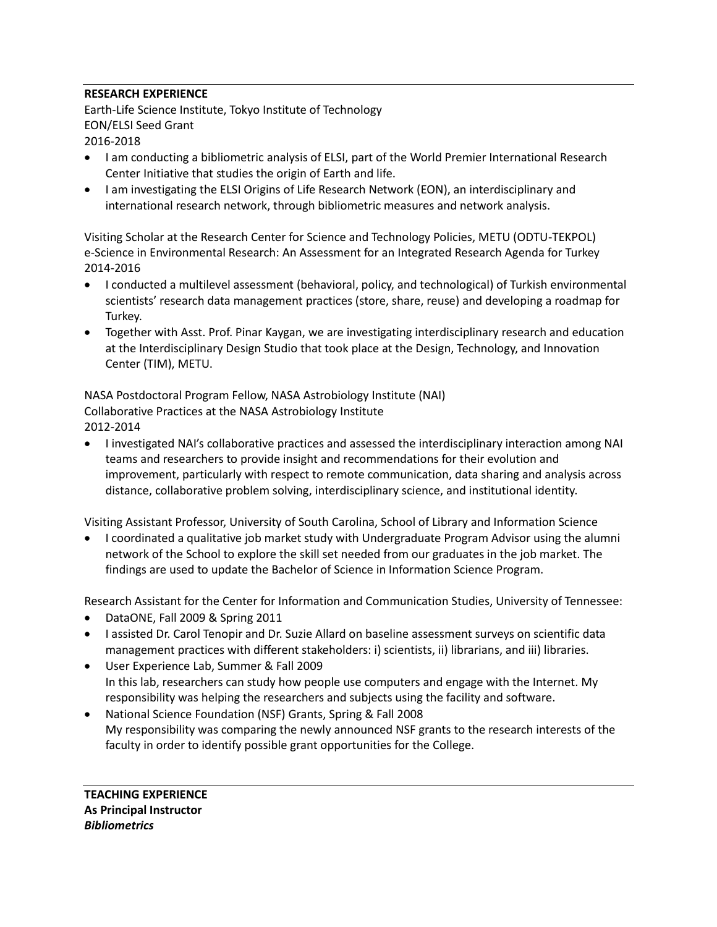# **RESEARCH EXPERIENCE**

Earth-Life Science Institute, Tokyo Institute of Technology EON/ELSI Seed Grant 2016-2018

- I am conducting a bibliometric analysis of ELSI, part of the World Premier International Research Center Initiative that studies the origin of Earth and life.
- I am investigating the ELSI Origins of Life Research Network (EON), an interdisciplinary and international research network, through bibliometric measures and network analysis.

Visiting Scholar at the Research Center for Science and Technology Policies, METU (ODTU-TEKPOL) e-Science in Environmental Research: An Assessment for an Integrated Research Agenda for Turkey 2014-2016

- I conducted a multilevel assessment (behavioral, policy, and technological) of Turkish environmental scientists' research data management practices (store, share, reuse) and developing a roadmap for Turkey.
- Together with Asst. Prof. Pinar Kaygan, we are investigating interdisciplinary research and education at the Interdisciplinary Design Studio that took place at the Design, Technology, and Innovation Center (TIM), METU.

NASA Postdoctoral Program Fellow, NASA Astrobiology Institute (NAI) Collaborative Practices at the NASA Astrobiology Institute 2012-2014

• I investigated NAI's collaborative practices and assessed the interdisciplinary interaction among NAI teams and researchers to provide insight and recommendations for their evolution and improvement, particularly with respect to remote communication, data sharing and analysis across distance, collaborative problem solving, interdisciplinary science, and institutional identity.

Visiting Assistant Professor, University of South Carolina, School of Library and Information Science

• I coordinated a qualitative job market study with Undergraduate Program Advisor using the alumni network of the School to explore the skill set needed from our graduates in the job market. The findings are used to update the Bachelor of Science in Information Science Program.

Research Assistant for the Center for Information and Communication Studies, University of Tennessee:

- DataONE, Fall 2009 & Spring 2011
- I assisted Dr. Carol Tenopir and Dr. Suzie Allard on baseline assessment surveys on scientific data management practices with different stakeholders: i) scientists, ii) librarians, and iii) libraries.
- User Experience Lab, Summer & Fall 2009 In this lab, researchers can study how people use computers and engage with the Internet. My responsibility was helping the researchers and subjects using the facility and software.
- National Science Foundation (NSF) Grants, Spring & Fall 2008 My responsibility was comparing the newly announced NSF grants to the research interests of the faculty in order to identify possible grant opportunities for the College.

**TEACHING EXPERIENCE As Principal Instructor** *Bibliometrics*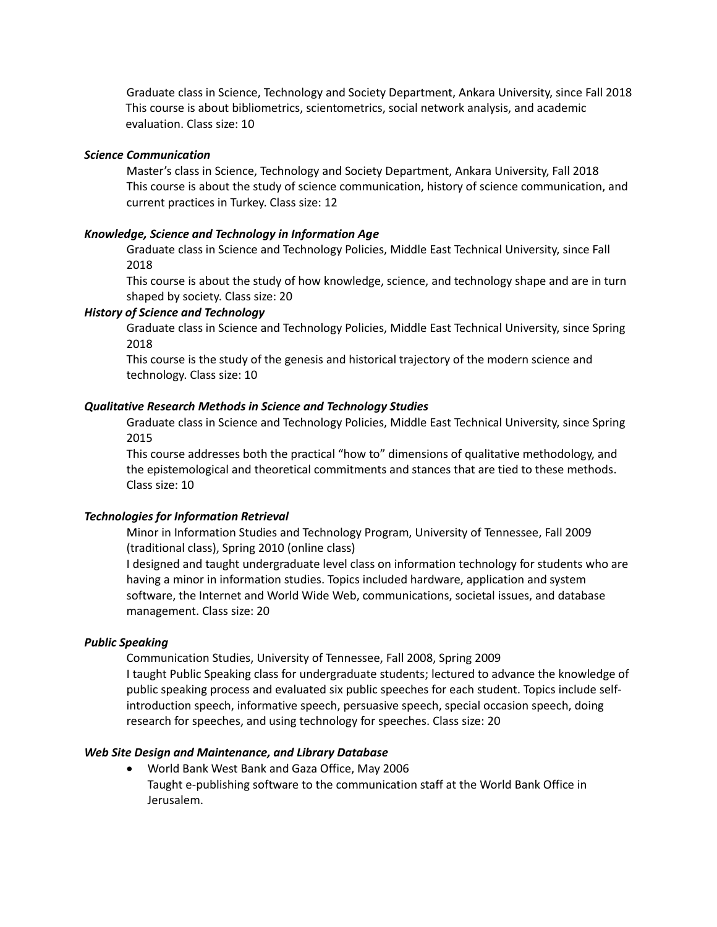Graduate class in Science, Technology and Society Department, Ankara University, since Fall 2018 This course is about bibliometrics, scientometrics, social network analysis, and academic evaluation. Class size: 10

#### *Science Communication*

Master's class in Science, Technology and Society Department, Ankara University, Fall 2018 This course is about the study of science communication, history of science communication, and current practices in Turkey. Class size: 12

# *Knowledge, Science and Technology in Information Age*

Graduate class in Science and Technology Policies, Middle East Technical University, since Fall 2018

This course is about the study of how knowledge, science, and technology shape and are in turn shaped by society. Class size: 20

#### *History of Science and Technology*

Graduate class in Science and Technology Policies, Middle East Technical University, since Spring 2018

This course is the study of the genesis and historical trajectory of the modern science and technology. Class size: 10

# *Qualitative Research Methods in Science and Technology Studies*

Graduate class in Science and Technology Policies, Middle East Technical University, since Spring 2015

This course addresses both the practical "how to" dimensions of qualitative methodology, and the epistemological and theoretical commitments and stances that are tied to these methods. Class size: 10

#### *Technologies for Information Retrieval*

Minor in Information Studies and Technology Program, University of Tennessee, Fall 2009 (traditional class), Spring 2010 (online class)

I designed and taught undergraduate level class on information technology for students who are having a minor in information studies. Topics included hardware, application and system software, the Internet and World Wide Web, communications, societal issues, and database management. Class size: 20

#### *Public Speaking*

Communication Studies, University of Tennessee, Fall 2008, Spring 2009 I taught Public Speaking class for undergraduate students; lectured to advance the knowledge of public speaking process and evaluated six public speeches for each student. Topics include selfintroduction speech, informative speech, persuasive speech, special occasion speech, doing research for speeches, and using technology for speeches. Class size: 20

### *Web Site Design and Maintenance, and Library Database*

• World Bank West Bank and Gaza Office, May 2006 Taught e-publishing software to the communication staff at the World Bank Office in Jerusalem.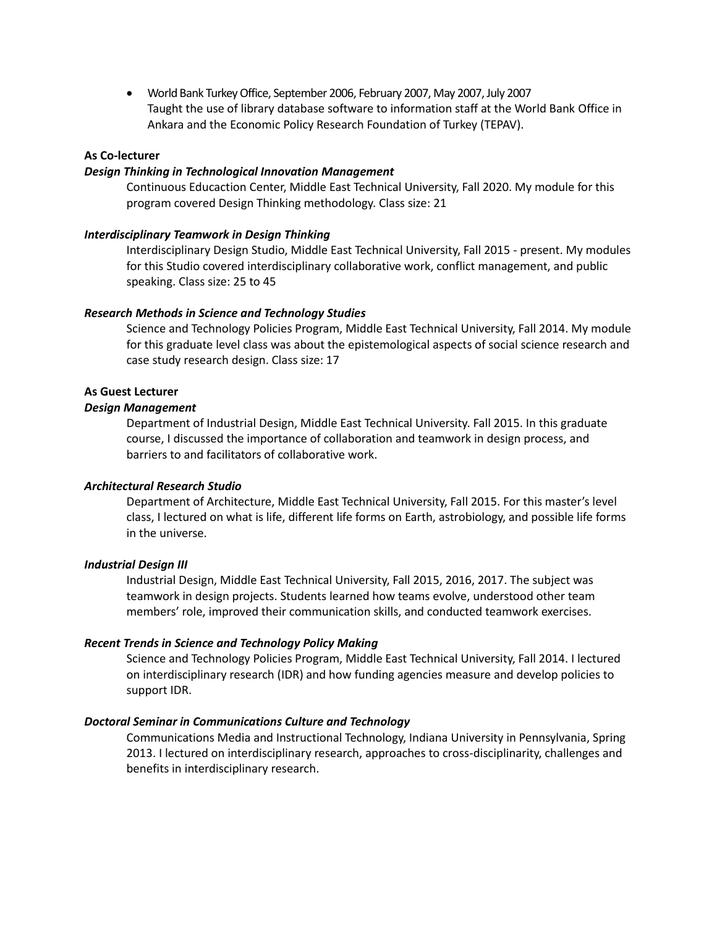• World Bank Turkey Office, September 2006, February 2007, May 2007, July 2007 Taught the use of library database software to information staff at the World Bank Office in Ankara and the Economic Policy Research Foundation of Turkey (TEPAV).

# **As Co-lecturer**

#### *Design Thinking in Technological Innovation Management*

Continuous Educaction Center, Middle East Technical University, Fall 2020. My module for this program covered Design Thinking methodology. Class size: 21

# *Interdisciplinary Teamwork in Design Thinking*

Interdisciplinary Design Studio, Middle East Technical University, Fall 2015 - present. My modules for this Studio covered interdisciplinary collaborative work, conflict management, and public speaking. Class size: 25 to 45

# *Research Methods in Science and Technology Studies*

Science and Technology Policies Program, Middle East Technical University, Fall 2014. My module for this graduate level class was about the epistemological aspects of social science research and case study research design. Class size: 17

# **As Guest Lecturer**

#### *Design Management*

Department of Industrial Design, Middle East Technical University. Fall 2015. In this graduate course, I discussed the importance of collaboration and teamwork in design process, and barriers to and facilitators of collaborative work.

#### *Architectural Research Studio*

Department of Architecture, Middle East Technical University, Fall 2015. For this master's level class, I lectured on what is life, different life forms on Earth, astrobiology, and possible life forms in the universe.

#### *Industrial Design III*

Industrial Design, Middle East Technical University, Fall 2015, 2016, 2017. The subject was teamwork in design projects. Students learned how teams evolve, understood other team members' role, improved their communication skills, and conducted teamwork exercises.

#### *Recent Trends in Science and Technology Policy Making*

Science and Technology Policies Program, Middle East Technical University, Fall 2014. I lectured on interdisciplinary research (IDR) and how funding agencies measure and develop policies to support IDR.

# *Doctoral Seminar in Communications Culture and Technology*

Communications Media and Instructional Technology, Indiana University in Pennsylvania, Spring 2013. I lectured on interdisciplinary research, approaches to cross-disciplinarity, challenges and benefits in interdisciplinary research.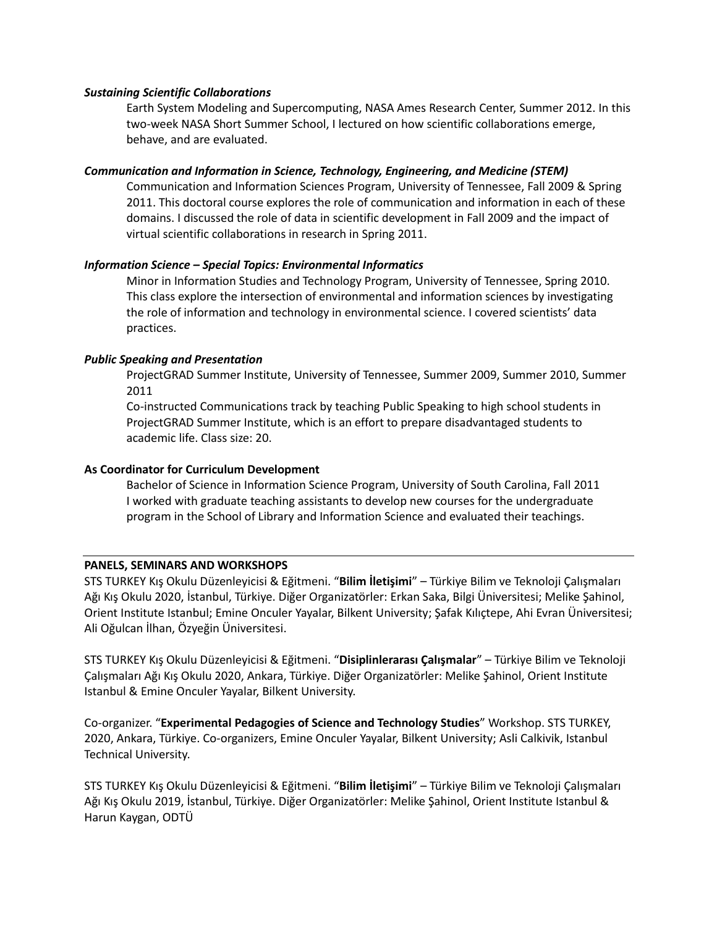### *Sustaining Scientific Collaborations*

Earth System Modeling and Supercomputing, NASA Ames Research Center, Summer 2012. In this two-week NASA Short Summer School, I lectured on how scientific collaborations emerge, behave, and are evaluated.

# *Communication and Information in Science, Technology, Engineering, and Medicine (STEM)*

Communication and Information Sciences Program, University of Tennessee, Fall 2009 & Spring 2011. This doctoral course explores the role of communication and information in each of these domains. I discussed the role of data in scientific development in Fall 2009 and the impact of virtual scientific collaborations in research in Spring 2011.

# *Information Science – Special Topics: Environmental Informatics*

Minor in Information Studies and Technology Program, University of Tennessee, Spring 2010. This class explore the intersection of environmental and information sciences by investigating the role of information and technology in environmental science. I covered scientists' data practices.

# *Public Speaking and Presentation*

ProjectGRAD Summer Institute, University of Tennessee, Summer 2009, Summer 2010, Summer 2011

Co-instructed Communications track by teaching Public Speaking to high school students in ProjectGRAD Summer Institute, which is an effort to prepare disadvantaged students to academic life. Class size: 20.

# **As Coordinator for Curriculum Development**

Bachelor of Science in Information Science Program, University of South Carolina, Fall 2011 I worked with graduate teaching assistants to develop new courses for the undergraduate program in the School of Library and Information Science and evaluated their teachings.

#### **PANELS, SEMINARS AND WORKSHOPS**

STS TURKEY Kış Okulu Düzenleyicisi & Eğitmeni. "**Bilim İletişimi**" – Türkiye Bilim ve Teknoloji Çalışmaları Ağı Kış Okulu 2020, İstanbul, Türkiye. Diğer Organizatörler: Erkan Saka, Bilgi Üniversitesi; Melike Şahinol, Orient Institute Istanbul; Emine Onculer Yayalar, Bilkent University; Şafak Kılıçtepe, Ahi Evran Üniversitesi; Ali Oğulcan İlhan, Özyeğin Üniversitesi.

STS TURKEY Kış Okulu Düzenleyicisi & Eğitmeni. "**Disiplinlerarası Çalışmalar**" – Türkiye Bilim ve Teknoloji Çalışmaları Ağı Kış Okulu 2020, Ankara, Türkiye. Diğer Organizatörler: Melike Şahinol, Orient Institute Istanbul & Emine Onculer Yayalar, Bilkent University.

Co-organizer. "**Experimental Pedagogies of Science and Technology Studies**" Workshop. STS TURKEY, 2020, Ankara, Türkiye. Co-organizers, Emine Onculer Yayalar, Bilkent University; Asli Calkivik, Istanbul Technical University.

STS TURKEY Kış Okulu Düzenleyicisi & Eğitmeni. "**Bilim İletişimi**" – Türkiye Bilim ve Teknoloji Çalışmaları Ağı Kış Okulu 2019, İstanbul, Türkiye. Diğer Organizatörler: Melike Şahinol, Orient Institute Istanbul & Harun Kaygan, ODTÜ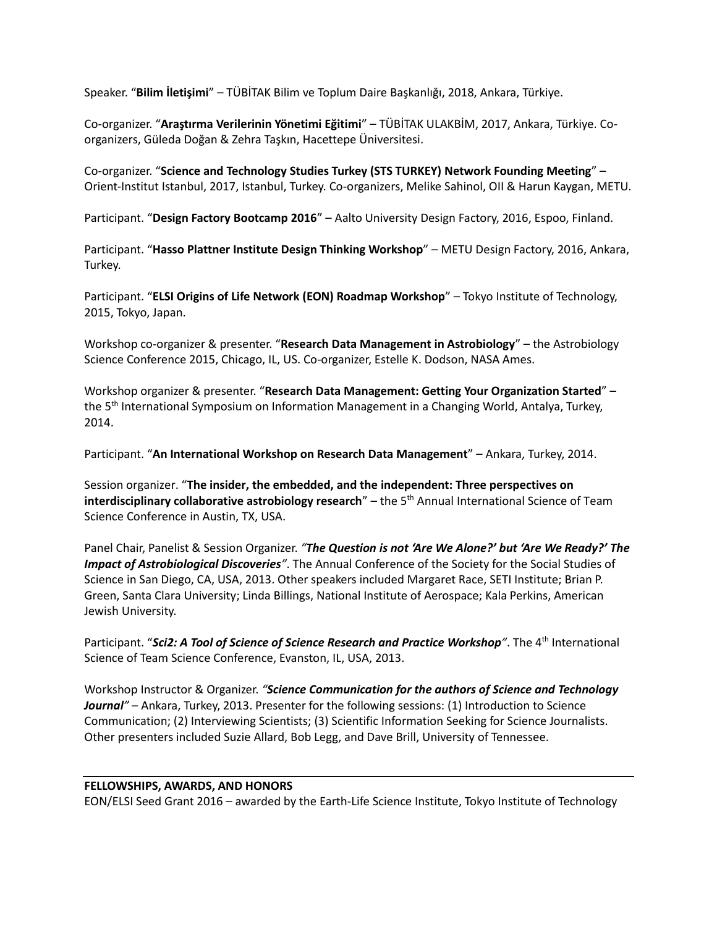Speaker. "**Bilim İletişimi**" – TÜBİTAK Bilim ve Toplum Daire Başkanlığı, 2018, Ankara, Türkiye.

Co-organizer. "**Araştırma Verilerinin Yönetimi Eğitimi**" – TÜBİTAK ULAKBİM, 2017, Ankara, Türkiye. Coorganizers, Güleda Doğan & Zehra Taşkın, Hacettepe Üniversitesi.

Co-organizer. "**Science and Technology Studies Turkey (STS TURKEY) Network Founding Meeting**" – Orient-Institut Istanbul, 2017, Istanbul, Turkey. Co-organizers, Melike Sahinol, OII & Harun Kaygan, METU.

Participant. "**Design Factory Bootcamp 2016**" – Aalto University Design Factory, 2016, Espoo, Finland.

Participant. "**Hasso Plattner Institute Design Thinking Workshop**" – METU Design Factory, 2016, Ankara, Turkey.

Participant. "**ELSI Origins of Life Network (EON) Roadmap Workshop**" – Tokyo Institute of Technology, 2015, Tokyo, Japan.

Workshop co-organizer & presenter. "**Research Data Management in Astrobiology**" – the Astrobiology Science Conference 2015, Chicago, IL, US. Co-organizer, Estelle K. Dodson, NASA Ames.

Workshop organizer & presenter. "**Research Data Management: Getting Your Organization Started**" – the 5<sup>th</sup> International Symposium on Information Management in a Changing World, Antalya, Turkey, 2014.

Participant. "**An International Workshop on Research Data Management**" – Ankara, Turkey, 2014.

Session organizer. "**The insider, the embedded, and the independent: Three perspectives on interdisciplinary collaborative astrobiology research<sup>"</sup> – the 5<sup>th</sup> Annual International Science of Team** Science Conference in Austin, TX, USA.

Panel Chair, Panelist & Session Organizer. *"The Question is not 'Are We Alone?' but 'Are We Ready?' The Impact of Astrobiological Discoveries"*. The Annual Conference of the Society for the Social Studies of Science in San Diego, CA, USA, 2013. Other speakers included Margaret Race, SETI Institute; Brian P. Green, Santa Clara University; Linda Billings, National Institute of Aerospace; Kala Perkins, American Jewish University.

Participant. "*Sci2: A Tool of Science of Science Research and Practice Workshop".* The 4<sup>th</sup> International Science of Team Science Conference, Evanston, IL, USA, 2013.

Workshop Instructor & Organizer. *"Science Communication for the authors of Science and Technology Journal"* – Ankara, Turkey, 2013. Presenter for the following sessions: (1) Introduction to Science Communication; (2) Interviewing Scientists; (3) Scientific Information Seeking for Science Journalists. Other presenters included Suzie Allard, Bob Legg, and Dave Brill, University of Tennessee.

# **FELLOWSHIPS, AWARDS, AND HONORS**

EON/ELSI Seed Grant 2016 – awarded by the Earth-Life Science Institute, Tokyo Institute of Technology